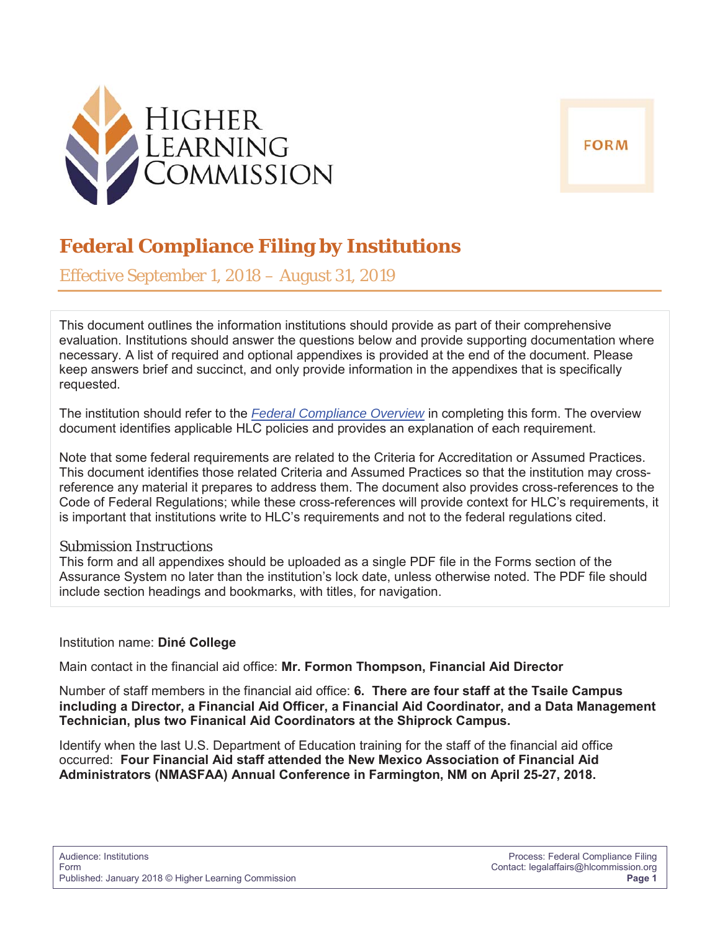

# **Federal Compliance Filing by Institutions**

Effective September 1, 2018 – August 31, 2019

This document outlines the information institutions should provide as part of their comprehensive evaluation. Institutions should answer the questions below and provide supporting documentation where necessary. A list of required and optional appendixes is provided at the end of the document. Please keep answers brief and succinct, and only provide information in the appendixes that is specifically requested.

The institution should refer to the *Federal Compliance Overview* in completing this form. The overview document identifies applicable HLC policies and provides an explanation of each requirement.

Note that some federal requirements are related to the Criteria for Accreditation or Assumed Practices. This document identifies those related Criteria and Assumed Practices so that the institution may crossreference any material it prepares to address them. The document also provides cross-references to the Code of Federal Regulations; while these cross-references will provide context for HLC's requirements, it is important that institutions write to HLC's requirements and not to the federal regulations cited.

## *Submission Instructions*

This form and all appendixes should be uploaded as a single PDF file in the Forms section of the Assurance System no later than the institution's lock date, unless otherwise noted. The PDF file should include section headings and bookmarks, with titles, for navigation.

## Institution name: **Diné College**

Main contact in the financial aid office: **Mr. Formon Thompson, Financial Aid Director**

Number of staff members in the financial aid office: **6. There are four staff at the Tsaile Campus including a Director, a Financial Aid Officer, a Financial Aid Coordinator, and a Data Management Technician, plus two Finanical Aid Coordinators at the Shiprock Campus.** 

Identify when the last U.S. Department of Education training for the staff of the financial aid office occurred: **Four Financial Aid staff attended the New Mexico Association of Financial Aid Administrators (NMASFAA) Annual Conference in Farmington, NM on April 25-27, 2018.**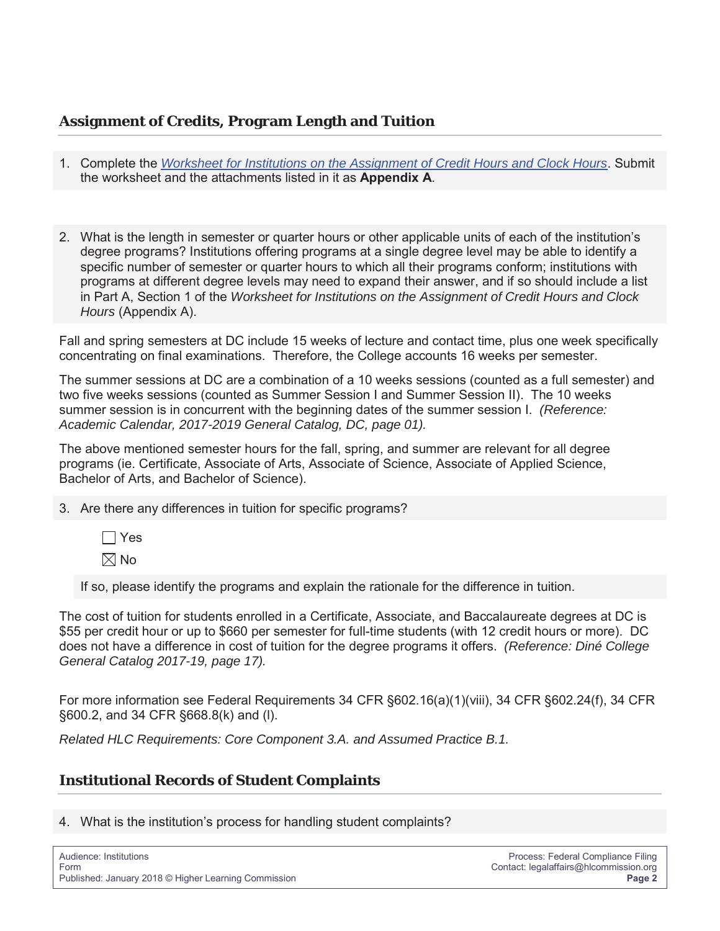# **Assignment of Credits, Program Length and Tuition**

- 1. Complete the *Worksheet for Institutions on the Assignment of Credit Hours and Clock Hours*. Submit the worksheet and the attachments listed in it as **Appendix A**.
- 2. What is the length in semester or quarter hours or other applicable units of each of the institution's degree programs? Institutions offering programs at a single degree level may be able to identify a specific number of semester or quarter hours to which all their programs conform; institutions with programs at different degree levels may need to expand their answer, and if so should include a list in Part A, Section 1 of the *Worksheet for Institutions on the Assignment of Credit Hours and Clock Hours* (Appendix A).

Fall and spring semesters at DC include 15 weeks of lecture and contact time, plus one week specifically concentrating on final examinations. Therefore, the College accounts 16 weeks per semester.

The summer sessions at DC are a combination of a 10 weeks sessions (counted as a full semester) and two five weeks sessions (counted as Summer Session I and Summer Session II). The 10 weeks summer session is in concurrent with the beginning dates of the summer session I. *(Reference: Academic Calendar, 2017-2019 General Catalog, DC, page 01).*

The above mentioned semester hours for the fall, spring, and summer are relevant for all degree programs (ie. Certificate, Associate of Arts, Associate of Science, Associate of Applied Science, Bachelor of Arts, and Bachelor of Science).

3. Are there any differences in tuition for specific programs?

| À.<br>ı.<br>r |
|---------------|

If so, please identify the programs and explain the rationale for the difference in tuition.

The cost of tuition for students enrolled in a Certificate, Associate, and Baccalaureate degrees at DC is \$55 per credit hour or up to \$660 per semester for full-time students (with 12 credit hours or more). DC does not have a difference in cost of tuition for the degree programs it offers. *(Reference: Diné College General Catalog 2017-19, page 17).*

For more information see Federal Requirements 34 CFR §602.16(a)(1)(viii), 34 CFR §602.24(f), 34 CFR §600.2, and 34 CFR §668.8(k) and (l).

*Related HLC Requirements: Core Component 3.A. and Assumed Practice B.1.*

# **Institutional Records of Student Complaints**

4. What is the institution's process for handling student complaints?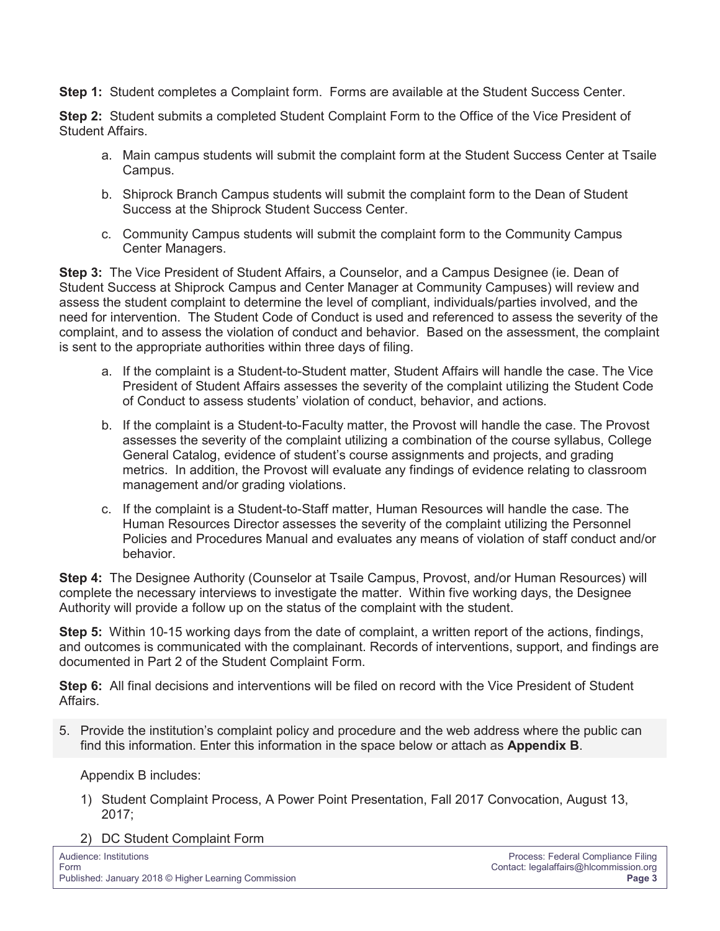**Step 1:** Student completes a Complaint form. Forms are available at the Student Success Center.

**Step 2:** Student submits a completed Student Complaint Form to the Office of the Vice President of Student Affairs.

- a. Main campus students will submit the complaint form at the Student Success Center at Tsaile Campus.
- b. Shiprock Branch Campus students will submit the complaint form to the Dean of Student Success at the Shiprock Student Success Center.
- c. Community Campus students will submit the complaint form to the Community Campus Center Managers.

**Step 3:** The Vice President of Student Affairs, a Counselor, and a Campus Designee (ie. Dean of Student Success at Shiprock Campus and Center Manager at Community Campuses) will review and assess the student complaint to determine the level of compliant, individuals/parties involved, and the need for intervention. The Student Code of Conduct is used and referenced to assess the severity of the complaint, and to assess the violation of conduct and behavior. Based on the assessment, the complaint is sent to the appropriate authorities within three days of filing.

- a. If the complaint is a Student-to-Student matter, Student Affairs will handle the case. The Vice President of Student Affairs assesses the severity of the complaint utilizing the Student Code of Conduct to assess students' violation of conduct, behavior, and actions.
- b. If the complaint is a Student-to-Faculty matter, the Provost will handle the case. The Provost assesses the severity of the complaint utilizing a combination of the course syllabus, College General Catalog, evidence of student's course assignments and projects, and grading metrics. In addition, the Provost will evaluate any findings of evidence relating to classroom management and/or grading violations.
- c. If the complaint is a Student-to-Staff matter, Human Resources will handle the case. The Human Resources Director assesses the severity of the complaint utilizing the Personnel Policies and Procedures Manual and evaluates any means of violation of staff conduct and/or behavior.

**Step 4:** The Designee Authority (Counselor at Tsaile Campus, Provost, and/or Human Resources) will complete the necessary interviews to investigate the matter. Within five working days, the Designee Authority will provide a follow up on the status of the complaint with the student.

**Step 5:** Within 10-15 working days from the date of complaint, a written report of the actions, findings, and outcomes is communicated with the complainant. Records of interventions, support, and findings are documented in Part 2 of the Student Complaint Form.

**Step 6:** All final decisions and interventions will be filed on record with the Vice President of Student **Affairs** 

5. Provide the institution's complaint policy and procedure and the web address where the public can find this information. Enter this information in the space below or attach as **Appendix B**.

Appendix B includes:

- 1) Student Complaint Process, A Power Point Presentation, Fall 2017 Convocation, August 13, 2017;
- 2) DC Student Complaint Form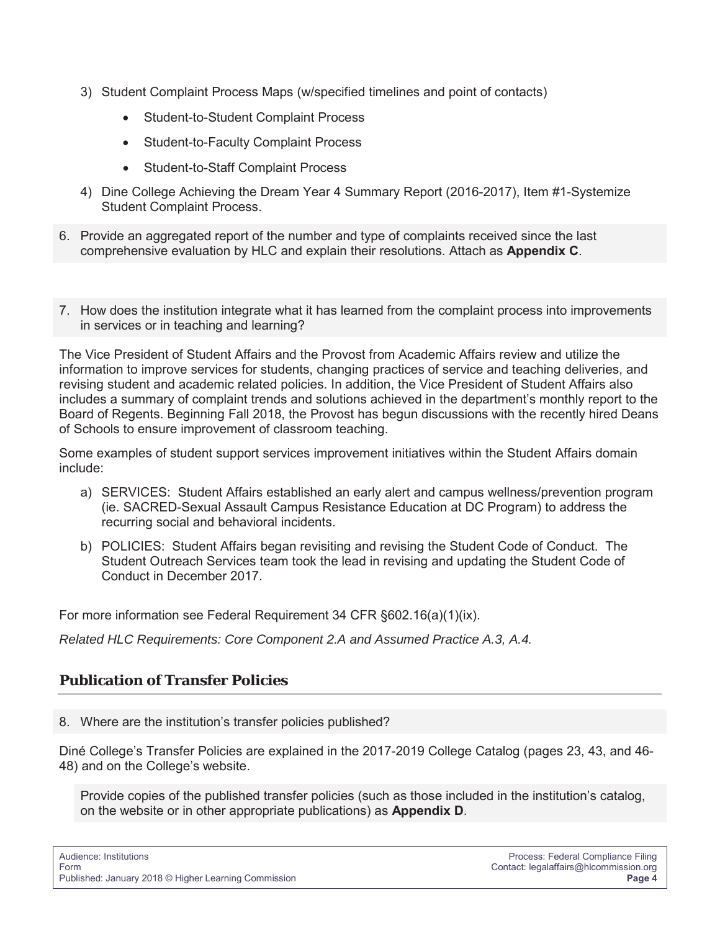- 3) Student Complaint Process Maps (w/specified timelines and point of contacts)
	- Student-to-Student Complaint Process
	- Student-to-Faculty Complaint Process
	- Student-to-Staff Complaint Process
- 4) Dine College Achieving the Dream Year 4 Summary Report (2016-2017), Item #1-Systemize Student Complaint Process.
- 6. Provide an aggregated report of the number and type of complaints received since the last comprehensive evaluation by HLC and explain their resolutions. Attach as **Appendix C**.
- 7. How does the institution integrate what it has learned from the complaint process into improvements in services or in teaching and learning?

The Vice President of Student Affairs and the Provost from Academic Affairs review and utilize the information to improve services for students, changing practices of service and teaching deliveries, and revising student and academic related policies. In addition, the Vice President of Student Affairs also includes a summary of complaint trends and solutions achieved in the department's monthly report to the Board of Regents. Beginning Fall 2018, the Provost has begun discussions with the recently hired Deans of Schools to ensure improvement of classroom teaching.

Some examples of student support services improvement initiatives within the Student Affairs domain include:

- a) SERVICES: Student Affairs established an early alert and campus wellness/prevention program (ie. SACRED-Sexual Assault Campus Resistance Education at DC Program) to address the recurring social and behavioral incidents.
- b) POLICIES: Student Affairs began revisiting and revising the Student Code of Conduct. The Student Outreach Services team took the lead in revising and updating the Student Code of Conduct in December 2017.

For more information see Federal Requirement 34 CFR §602.16(a)(1)(ix).

*Related HLC Requirements: Core Component 2.A and Assumed Practice A.3, A.4.*

# **Publication of Transfer Policies**

8. Where are the institution's transfer policies published?

Diné College's Transfer Policies are explained in the 2017-2019 College Catalog (pages 23, 43, and 46- 48) and on the College's website.

Provide copies of the published transfer policies (such as those included in the institution's catalog, on the website or in other appropriate publications) as **Appendix D**.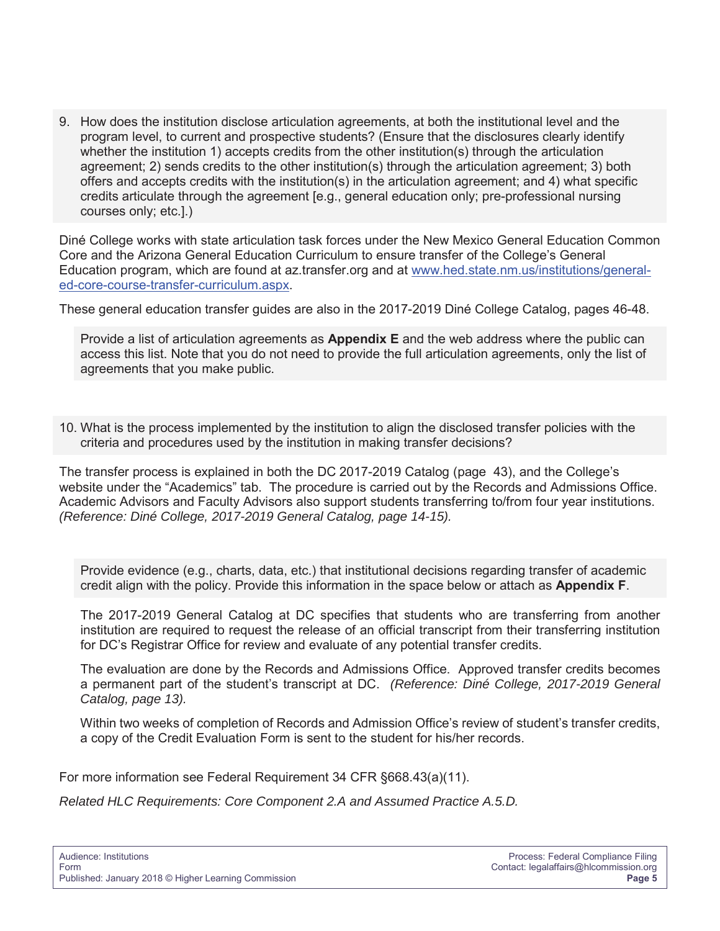9. How does the institution disclose articulation agreements, at both the institutional level and the program level, to current and prospective students? (Ensure that the disclosures clearly identify whether the institution 1) accepts credits from the other institution(s) through the articulation agreement; 2) sends credits to the other institution(s) through the articulation agreement; 3) both offers and accepts credits with the institution(s) in the articulation agreement; and 4) what specific credits articulate through the agreement [e.g., general education only; pre-professional nursing courses only; etc.].)

Diné College works with state articulation task forces under the New Mexico General Education Common Core and the Arizona General Education Curriculum to ensure transfer of the College's General Education program, which are found at az.transfer.org and at www.hed.state.nm.us/institutions/generaled-core-course-transfer-curriculum.aspx.

These general education transfer guides are also in the 2017-2019 Diné College Catalog, pages 46-48.

Provide a list of articulation agreements as **Appendix E** and the web address where the public can access this list. Note that you do not need to provide the full articulation agreements, only the list of agreements that you make public.

10. What is the process implemented by the institution to align the disclosed transfer policies with the criteria and procedures used by the institution in making transfer decisions?

The transfer process is explained in both the DC 2017-2019 Catalog (page 43), and the College's website under the "Academics" tab. The procedure is carried out by the Records and Admissions Office. Academic Advisors and Faculty Advisors also support students transferring to/from four year institutions. *(Reference: Diné College, 2017-2019 General Catalog, page 14-15).*

Provide evidence (e.g., charts, data, etc.) that institutional decisions regarding transfer of academic credit align with the policy. Provide this information in the space below or attach as **Appendix F**.

The 2017-2019 General Catalog at DC specifies that students who are transferring from another institution are required to request the release of an official transcript from their transferring institution for DC's Registrar Office for review and evaluate of any potential transfer credits.

The evaluation are done by the Records and Admissions Office. Approved transfer credits becomes a permanent part of the student's transcript at DC. *(Reference: Diné College, 2017-2019 General Catalog, page 13).* 

Within two weeks of completion of Records and Admission Office's review of student's transfer credits, a copy of the Credit Evaluation Form is sent to the student for his/her records.

For more information see Federal Requirement 34 CFR §668.43(a)(11).

*Related HLC Requirements: Core Component 2.A and Assumed Practice A.5.D.*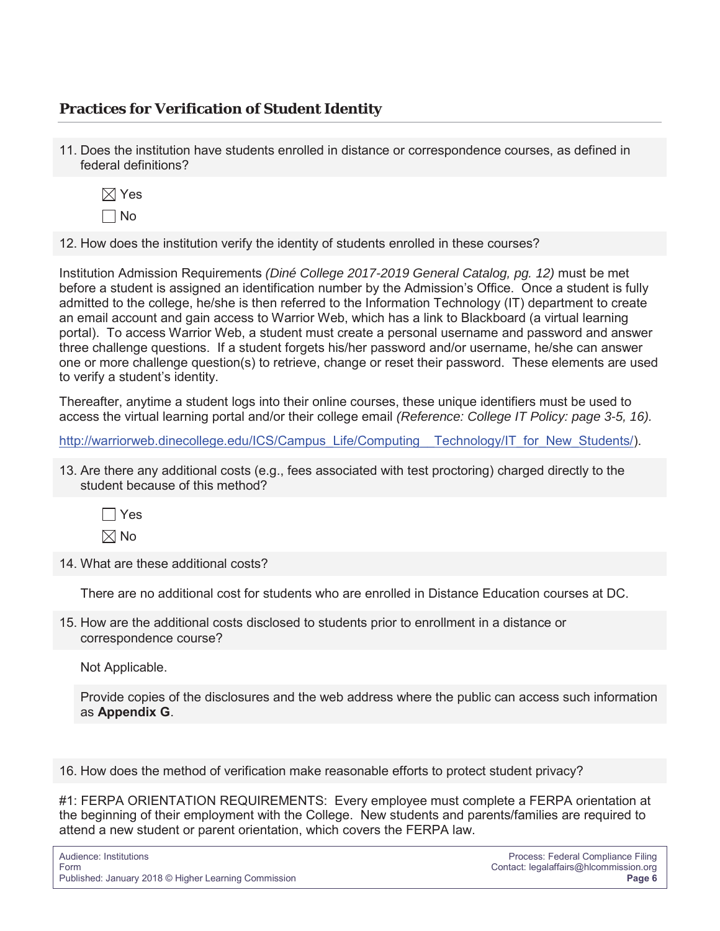# **Practices for Verification of Student Identity**

11. Does the institution have students enrolled in distance or correspondence courses, as defined in federal definitions?

| ÷ |
|---|
|   |

12. How does the institution verify the identity of students enrolled in these courses?

Institution Admission Requirements *(Diné College 2017-2019 General Catalog, pg. 12)* must be met before a student is assigned an identification number by the Admission's Office. Once a student is fully admitted to the college, he/she is then referred to the Information Technology (IT) department to create an email account and gain access to Warrior Web, which has a link to Blackboard (a virtual learning portal). To access Warrior Web, a student must create a personal username and password and answer three challenge questions. If a student forgets his/her password and/or username, he/she can answer one or more challenge question(s) to retrieve, change or reset their password. These elements are used to verify a student's identity.

Thereafter, anytime a student logs into their online courses, these unique identifiers must be used to access the virtual learning portal and/or their college email *(Reference: College IT Policy: page 3-5, 16).*

http://warriorweb.dinecollege.edu/ICS/Campus\_Life/Computing\_\_Technology/IT\_for\_New\_Students/).

13. Are there any additional costs (e.g., fees associated with test proctoring) charged directly to the student because of this method?

 $\Box$  Yes

 $\boxtimes$  No

14. What are these additional costs?

There are no additional cost for students who are enrolled in Distance Education courses at DC.

15. How are the additional costs disclosed to students prior to enrollment in a distance or correspondence course?

Not Applicable.

Provide copies of the disclosures and the web address where the public can access such information as **Appendix G**.

16. How does the method of verification make reasonable efforts to protect student privacy?

#1: FERPA ORIENTATION REQUIREMENTS: Every employee must complete a FERPA orientation at the beginning of their employment with the College. New students and parents/families are required to attend a new student or parent orientation, which covers the FERPA law.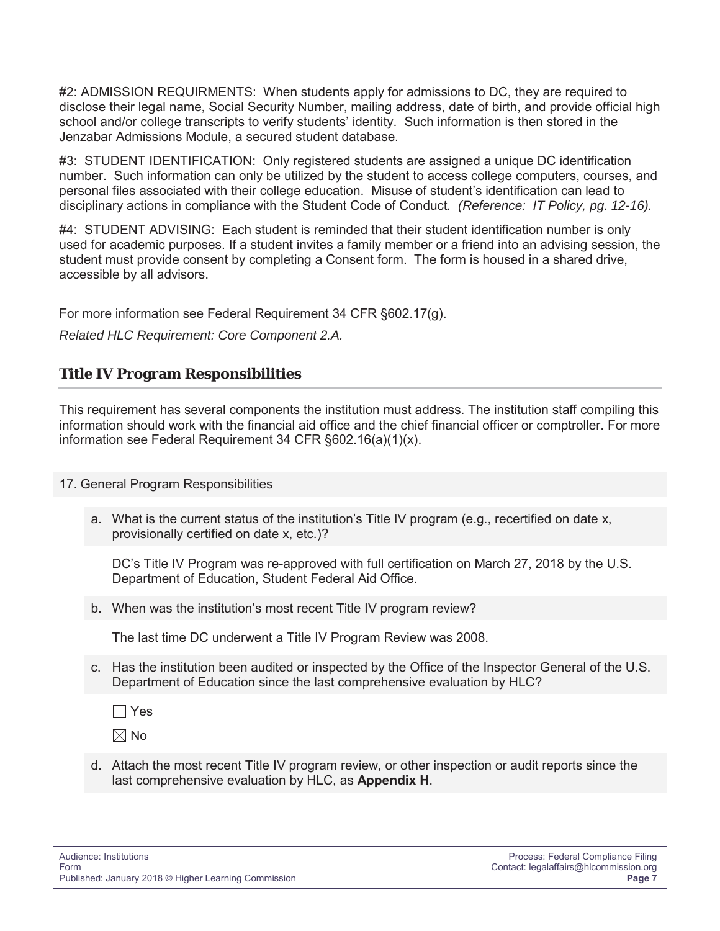#2: ADMISSION REQUIRMENTS: When students apply for admissions to DC, they are required to disclose their legal name, Social Security Number, mailing address, date of birth, and provide official high school and/or college transcripts to verify students' identity. Such information is then stored in the Jenzabar Admissions Module, a secured student database.

#3: STUDENT IDENTIFICATION: Only registered students are assigned a unique DC identification number. Such information can only be utilized by the student to access college computers, courses, and personal files associated with their college education. Misuse of student's identification can lead to disciplinary actions in compliance with the Student Code of Conduct*. (Reference: IT Policy, pg. 12-16).*

#4: STUDENT ADVISING: Each student is reminded that their student identification number is only used for academic purposes. If a student invites a family member or a friend into an advising session, the student must provide consent by completing a Consent form. The form is housed in a shared drive, accessible by all advisors.

For more information see Federal Requirement 34 CFR §602.17(g).

*Related HLC Requirement: Core Component 2.A.*

# **Title IV Program Responsibilities**

This requirement has several components the institution must address. The institution staff compiling this information should work with the financial aid office and the chief financial officer or comptroller. For more information see Federal Requirement 34 CFR §602.16(a)(1)(x).

17. General Program Responsibilities

a. What is the current status of the institution's Title IV program (e.g., recertified on date x, provisionally certified on date x, etc.)?

DC's Title IV Program was re-approved with full certification on March 27, 2018 by the U.S. Department of Education, Student Federal Aid Office.

b. When was the institution's most recent Title IV program review?

The last time DC underwent a Title IV Program Review was 2008.

c. Has the institution been audited or inspected by the Office of the Inspector General of the U.S. Department of Education since the last comprehensive evaluation by HLC?

Yes

 $\boxtimes$  No

d. Attach the most recent Title IV program review, or other inspection or audit reports since the last comprehensive evaluation by HLC, as **Appendix H**.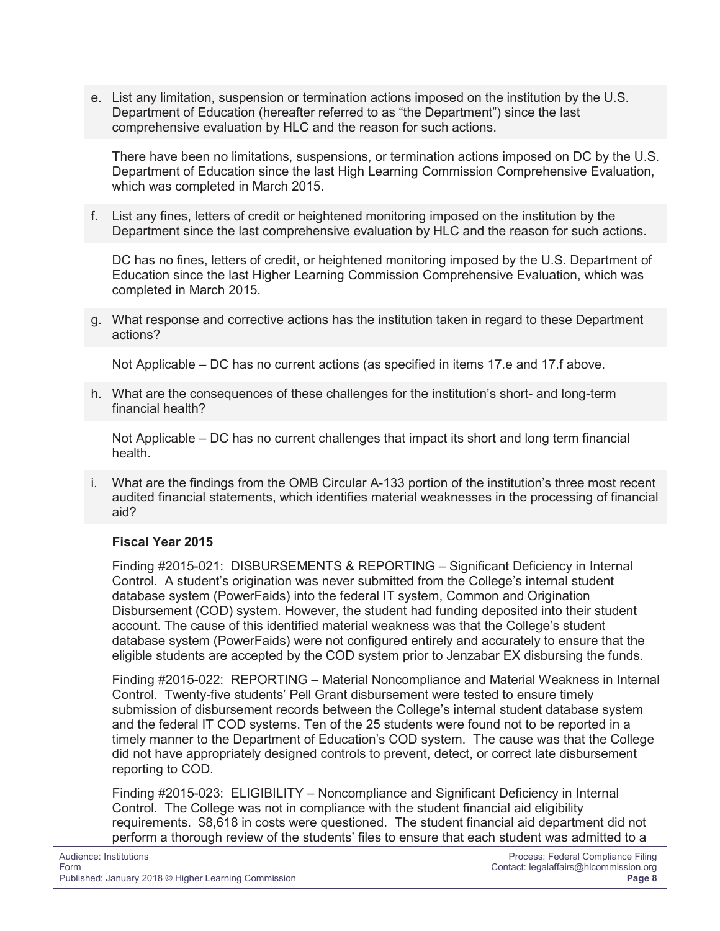e. List any limitation, suspension or termination actions imposed on the institution by the U.S. Department of Education (hereafter referred to as "the Department") since the last comprehensive evaluation by HLC and the reason for such actions.

There have been no limitations, suspensions, or termination actions imposed on DC by the U.S. Department of Education since the last High Learning Commission Comprehensive Evaluation, which was completed in March 2015.

f. List any fines, letters of credit or heightened monitoring imposed on the institution by the Department since the last comprehensive evaluation by HLC and the reason for such actions.

DC has no fines, letters of credit, or heightened monitoring imposed by the U.S. Department of Education since the last Higher Learning Commission Comprehensive Evaluation, which was completed in March 2015.

g. What response and corrective actions has the institution taken in regard to these Department actions?

Not Applicable – DC has no current actions (as specified in items 17.e and 17.f above.

h. What are the consequences of these challenges for the institution's short- and long-term financial health?

Not Applicable – DC has no current challenges that impact its short and long term financial health.

i. What are the findings from the OMB Circular A-133 portion of the institution's three most recent audited financial statements, which identifies material weaknesses in the processing of financial aid?

# **Fiscal Year 2015**

Finding #2015-021: DISBURSEMENTS & REPORTING – Significant Deficiency in Internal Control. A student's origination was never submitted from the College's internal student database system (PowerFaids) into the federal IT system, Common and Origination Disbursement (COD) system. However, the student had funding deposited into their student account. The cause of this identified material weakness was that the College's student database system (PowerFaids) were not configured entirely and accurately to ensure that the eligible students are accepted by the COD system prior to Jenzabar EX disbursing the funds.

Finding #2015-022: REPORTING – Material Noncompliance and Material Weakness in Internal Control. Twenty-five students' Pell Grant disbursement were tested to ensure timely submission of disbursement records between the College's internal student database system and the federal IT COD systems. Ten of the 25 students were found not to be reported in a timely manner to the Department of Education's COD system. The cause was that the College did not have appropriately designed controls to prevent, detect, or correct late disbursement reporting to COD.

Finding #2015-023: ELIGIBILITY – Noncompliance and Significant Deficiency in Internal Control. The College was not in compliance with the student financial aid eligibility requirements. \$8,618 in costs were questioned. The student financial aid department did not perform a thorough review of the students' files to ensure that each student was admitted to a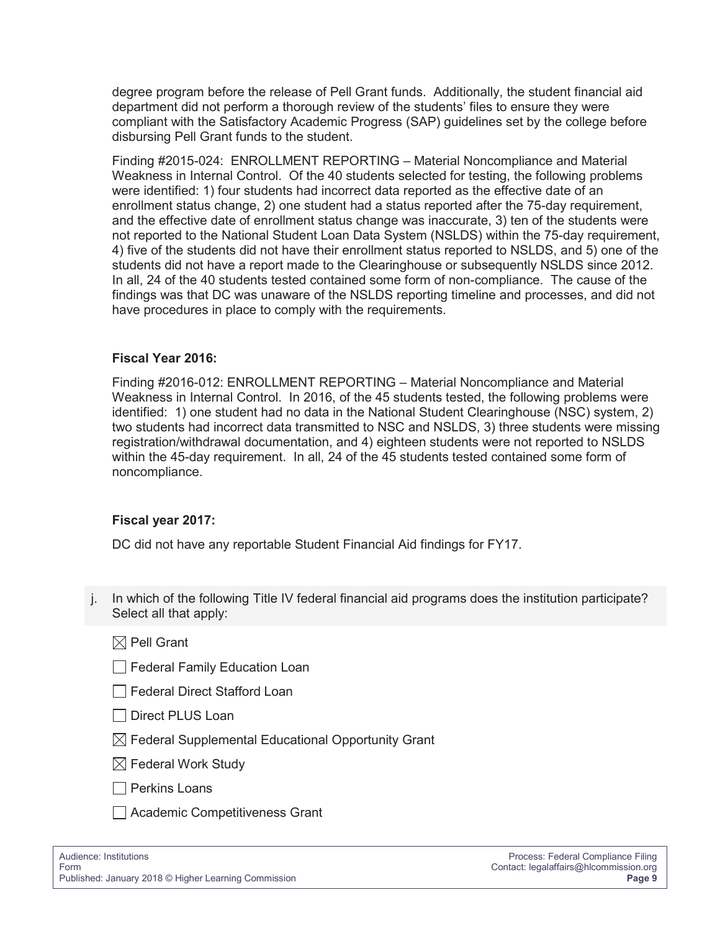degree program before the release of Pell Grant funds. Additionally, the student financial aid department did not perform a thorough review of the students' files to ensure they were compliant with the Satisfactory Academic Progress (SAP) guidelines set by the college before disbursing Pell Grant funds to the student.

Finding #2015-024: ENROLLMENT REPORTING – Material Noncompliance and Material Weakness in Internal Control. Of the 40 students selected for testing, the following problems were identified: 1) four students had incorrect data reported as the effective date of an enrollment status change, 2) one student had a status reported after the 75-day requirement, and the effective date of enrollment status change was inaccurate, 3) ten of the students were not reported to the National Student Loan Data System (NSLDS) within the 75-day requirement, 4) five of the students did not have their enrollment status reported to NSLDS, and 5) one of the students did not have a report made to the Clearinghouse or subsequently NSLDS since 2012. In all, 24 of the 40 students tested contained some form of non-compliance. The cause of the findings was that DC was unaware of the NSLDS reporting timeline and processes, and did not have procedures in place to comply with the requirements.

## **Fiscal Year 2016:**

Finding #2016-012: ENROLLMENT REPORTING – Material Noncompliance and Material Weakness in Internal Control. In 2016, of the 45 students tested, the following problems were identified: 1) one student had no data in the National Student Clearinghouse (NSC) system, 2) two students had incorrect data transmitted to NSC and NSLDS, 3) three students were missing registration/withdrawal documentation, and 4) eighteen students were not reported to NSLDS within the 45-day requirement. In all, 24 of the 45 students tested contained some form of noncompliance.

## **Fiscal year 2017:**

DC did not have any reportable Student Financial Aid findings for FY17.

- j. In which of the following Title IV federal financial aid programs does the institution participate? Select all that apply:
	- $\boxtimes$  Pell Grant
	- **Federal Family Education Loan**
	- □ Federal Direct Stafford Loan
	- Direct PLUS Loan
	- $\boxtimes$  Federal Supplemental Educational Opportunity Grant
	- $\boxtimes$  Federal Work Study
	- Perkins Loans
	- Academic Competitiveness Grant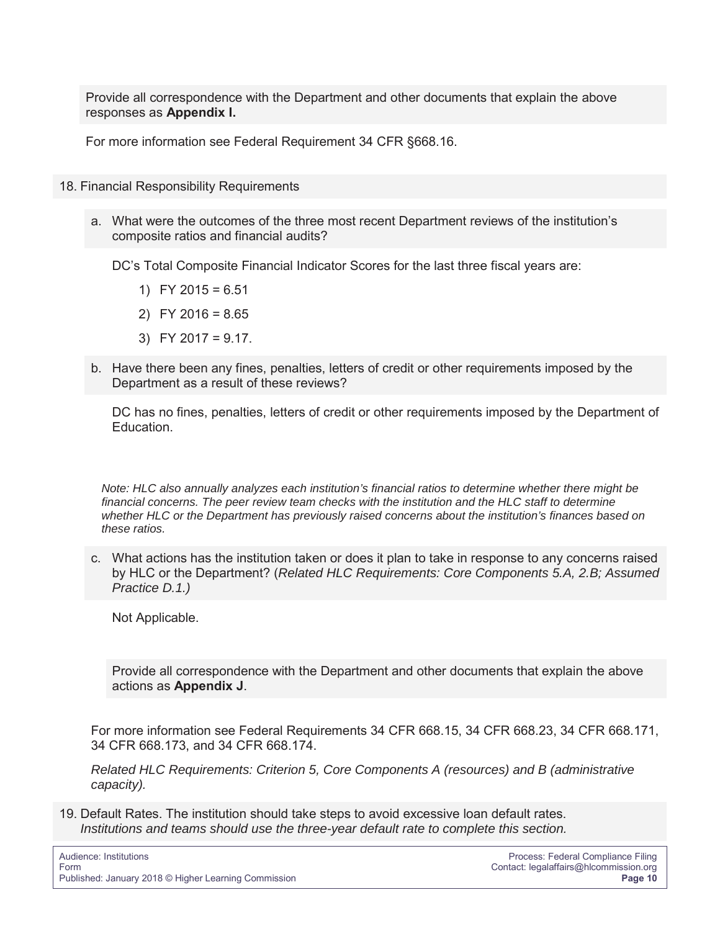Provide all correspondence with the Department and other documents that explain the above responses as **Appendix I.**

For more information see Federal Requirement 34 CFR §668.16.

- 18. Financial Responsibility Requirements
	- a. What were the outcomes of the three most recent Department reviews of the institution's composite ratios and financial audits?

DC's Total Composite Financial Indicator Scores for the last three fiscal years are:

- 1) FY 2015 =  $6.51$
- 2) FY 2016 = 8.65
- 3) FY 2017 = 9.17.
- b. Have there been any fines, penalties, letters of credit or other requirements imposed by the Department as a result of these reviews?

DC has no fines, penalties, letters of credit or other requirements imposed by the Department of Education.

*Note: HLC also annually analyzes each institution's financial ratios to determine whether there might be financial concerns. The peer review team checks with the institution and the HLC staff to determine whether HLC or the Department has previously raised concerns about the institution's finances based on these ratios.*

c. What actions has the institution taken or does it plan to take in response to any concerns raised by HLC or the Department? (*Related HLC Requirements: Core Components 5.A, 2.B; Assumed Practice D.1.)*

Not Applicable.

Provide all correspondence with the Department and other documents that explain the above actions as **Appendix J**.

For more information see Federal Requirements 34 CFR 668.15, 34 CFR 668.23, 34 CFR 668.171, 34 CFR 668.173, and 34 CFR 668.174.

*Related HLC Requirements: Criterion 5, Core Components A (resources) and B (administrative capacity).*

19. Default Rates. The institution should take steps to avoid excessive loan default rates. *Institutions and teams should use the three-year default rate to complete this section.*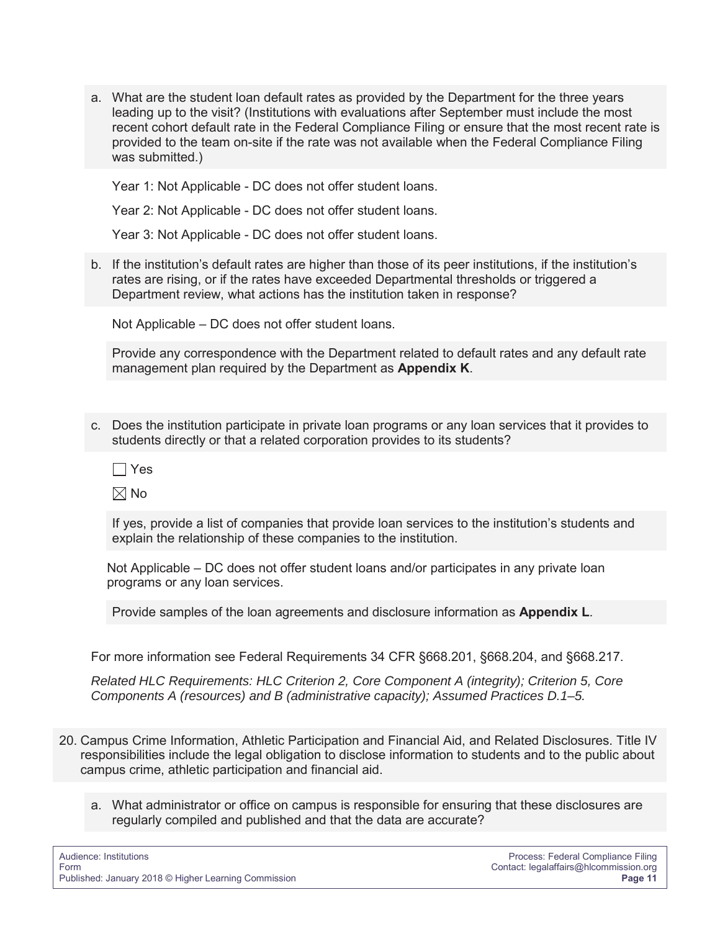a. What are the student loan default rates as provided by the Department for the three years leading up to the visit? (Institutions with evaluations after September must include the most recent cohort default rate in the Federal Compliance Filing or ensure that the most recent rate is provided to the team on-site if the rate was not available when the Federal Compliance Filing was submitted.)

Year 1: Not Applicable - DC does not offer student loans.

Year 2: Not Applicable - DC does not offer student loans.

Year 3: Not Applicable - DC does not offer student loans.

b. If the institution's default rates are higher than those of its peer institutions, if the institution's rates are rising, or if the rates have exceeded Departmental thresholds or triggered a Department review, what actions has the institution taken in response?

Not Applicable – DC does not offer student loans.

Provide any correspondence with the Department related to default rates and any default rate management plan required by the Department as **Appendix K**.

- c. Does the institution participate in private loan programs or any loan services that it provides to students directly or that a related corporation provides to its students?
	- $\Box$  Yes

 $\boxtimes$  No

If yes, provide a list of companies that provide loan services to the institution's students and explain the relationship of these companies to the institution.

Not Applicable – DC does not offer student loans and/or participates in any private loan programs or any loan services.

Provide samples of the loan agreements and disclosure information as **Appendix L**.

For more information see Federal Requirements 34 CFR §668.201, §668.204, and §668.217.

*Related HLC Requirements: HLC Criterion 2, Core Component A (integrity); Criterion 5, Core Components A (resources) and B (administrative capacity); Assumed Practices D.1–5.*

- 20. Campus Crime Information, Athletic Participation and Financial Aid, and Related Disclosures. Title IV responsibilities include the legal obligation to disclose information to students and to the public about campus crime, athletic participation and financial aid.
	- a. What administrator or office on campus is responsible for ensuring that these disclosures are regularly compiled and published and that the data are accurate?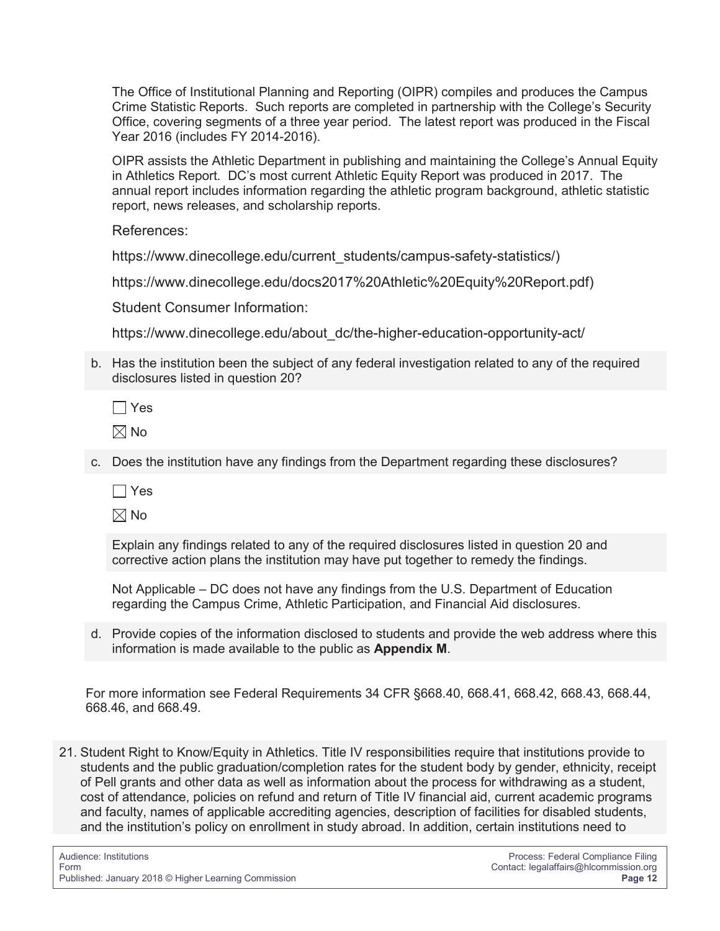The Office of Institutional Planning and Reporting (OIPR) compiles and produces the Campus Crime Statistic Reports. Such reports are completed in partnership with the College's Security Office, covering segments of a three year period. The latest report was produced in the Fiscal Year 2016 (includes FY 2014-2016).

OIPR assists the Athletic Department in publishing and maintaining the College's Annual Equity in Athletics Report. DC's most current Athletic Equity Report was produced in 2017. The annual report includes information regarding the athletic program background, athletic statistic report, news releases, and scholarship reports.

References:

https://www.dinecollege.edu/current\_students/campus-safety-statistics/)

https://www.dinecollege.edu/docs2017%20Athletic%20Equity%20Report.pdf)

Student Consumer Information:

https://www.dinecollege.edu/about\_dc/the-higher-education-opportunity-act/

b. Has the institution been the subject of any federal investigation related to any of the required disclosures listed in question 20?

 $\Box$  Yes

 $\boxtimes$  No

c. Does the institution have any findings from the Department regarding these disclosures?

 $\Box$  Yes

 $\boxtimes$  No

Explain any findings related to any of the required disclosures listed in question 20 and corrective action plans the institution may have put together to remedy the findings.

Not Applicable – DC does not have any findings from the U.S. Department of Education regarding the Campus Crime, Athletic Participation, and Financial Aid disclosures.

d. Provide copies of the information disclosed to students and provide the web address where this information is made available to the public as **Appendix M**.

For more information see Federal Requirements 34 CFR §668.40, 668.41, 668.42, 668.43, 668.44, 668.46, and 668.49.

21. Student Right to Know/Equity in Athletics. Title IV responsibilities require that institutions provide to students and the public graduation/completion rates for the student body by gender, ethnicity, receipt of Pell grants and other data as well as information about the process for withdrawing as a student, cost of attendance, policies on refund and return of Title IV financial aid, current academic programs and faculty, names of applicable accrediting agencies, description of facilities for disabled students, and the institution's policy on enrollment in study abroad. In addition, certain institutions need to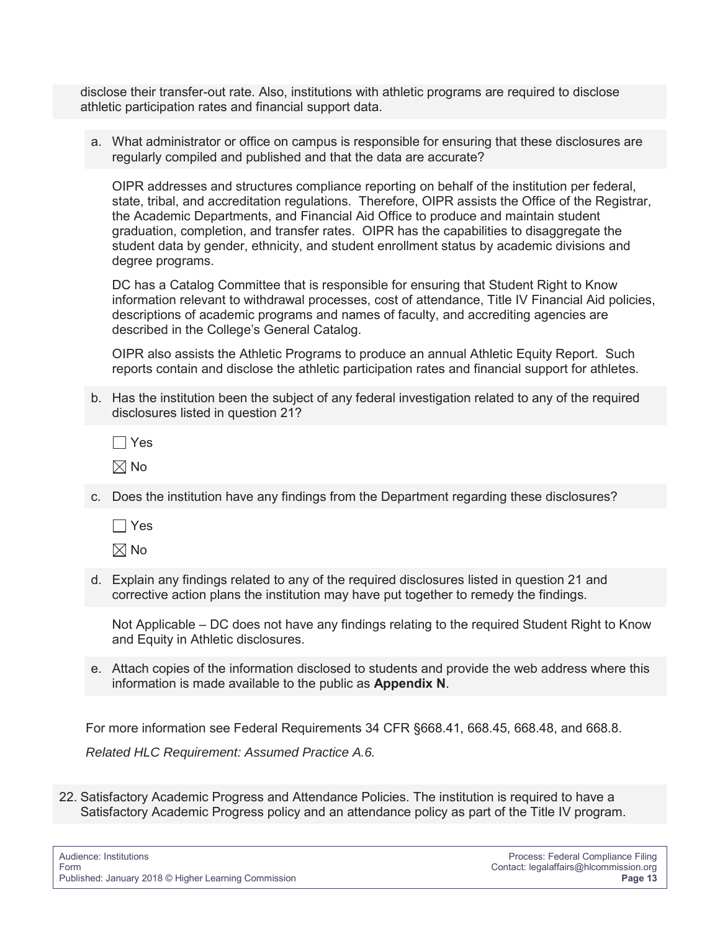disclose their transfer-out rate. Also, institutions with athletic programs are required to disclose athletic participation rates and financial support data.

a. What administrator or office on campus is responsible for ensuring that these disclosures are regularly compiled and published and that the data are accurate?

OIPR addresses and structures compliance reporting on behalf of the institution per federal, state, tribal, and accreditation regulations. Therefore, OIPR assists the Office of the Registrar, the Academic Departments, and Financial Aid Office to produce and maintain student graduation, completion, and transfer rates. OIPR has the capabilities to disaggregate the student data by gender, ethnicity, and student enrollment status by academic divisions and degree programs.

DC has a Catalog Committee that is responsible for ensuring that Student Right to Know information relevant to withdrawal processes, cost of attendance, Title IV Financial Aid policies, descriptions of academic programs and names of faculty, and accrediting agencies are described in the College's General Catalog.

OIPR also assists the Athletic Programs to produce an annual Athletic Equity Report. Such reports contain and disclose the athletic participation rates and financial support for athletes.

b. Has the institution been the subject of any federal investigation related to any of the required disclosures listed in question 21?

 $\Box$  Yes

 $\boxtimes$  No

c. Does the institution have any findings from the Department regarding these disclosures?

 $\Box$  Yes

 $\boxtimes$  No

d. Explain any findings related to any of the required disclosures listed in question 21 and corrective action plans the institution may have put together to remedy the findings.

Not Applicable – DC does not have any findings relating to the required Student Right to Know and Equity in Athletic disclosures.

e. Attach copies of the information disclosed to students and provide the web address where this information is made available to the public as **Appendix N**.

For more information see Federal Requirements 34 CFR §668.41, 668.45, 668.48, and 668.8.

*Related HLC Requirement: Assumed Practice A.6.*

22. Satisfactory Academic Progress and Attendance Policies. The institution is required to have a Satisfactory Academic Progress policy and an attendance policy as part of the Title IV program.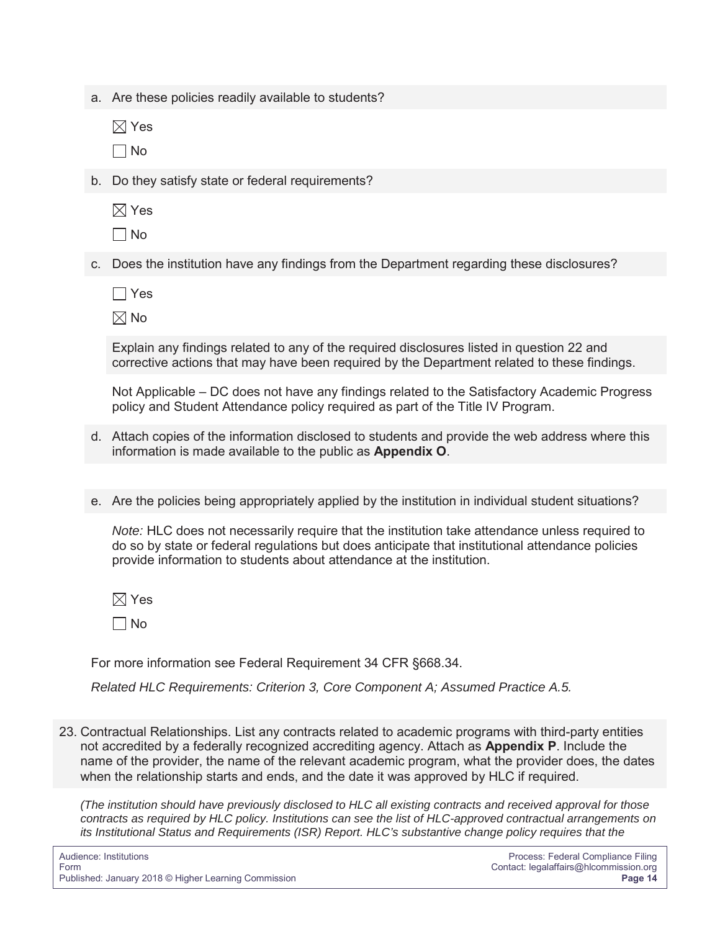a. Are these policies readily available to students?

 $\boxtimes$  Yes

 $\Box$  No

b. Do they satisfy state or federal requirements?

 $\boxtimes$  Yes

 $\Box$  No

c. Does the institution have any findings from the Department regarding these disclosures?

 $\Box$  Yes

 $\boxtimes$  No

Explain any findings related to any of the required disclosures listed in question 22 and corrective actions that may have been required by the Department related to these findings.

Not Applicable – DC does not have any findings related to the Satisfactory Academic Progress policy and Student Attendance policy required as part of the Title IV Program.

- d. Attach copies of the information disclosed to students and provide the web address where this information is made available to the public as **Appendix O**.
- e. Are the policies being appropriately applied by the institution in individual student situations?

*Note:* HLC does not necessarily require that the institution take attendance unless required to do so by state or federal regulations but does anticipate that institutional attendance policies provide information to students about attendance at the institution.

 $\boxtimes$  Yes

 $\Box$  No

For more information see Federal Requirement 34 CFR §668.34.

*Related HLC Requirements: Criterion 3, Core Component A; Assumed Practice A.5.*

23. Contractual Relationships. List any contracts related to academic programs with third-party entities not accredited by a federally recognized accrediting agency. Attach as **Appendix P**. Include the name of the provider, the name of the relevant academic program, what the provider does, the dates when the relationship starts and ends, and the date it was approved by HLC if required.

*(The institution should have previously disclosed to HLC all existing contracts and received approval for those contracts as required by HLC policy. Institutions can see the list of HLC-approved contractual arrangements on its Institutional Status and Requirements (ISR) Report. HLC's substantive change policy requires that the*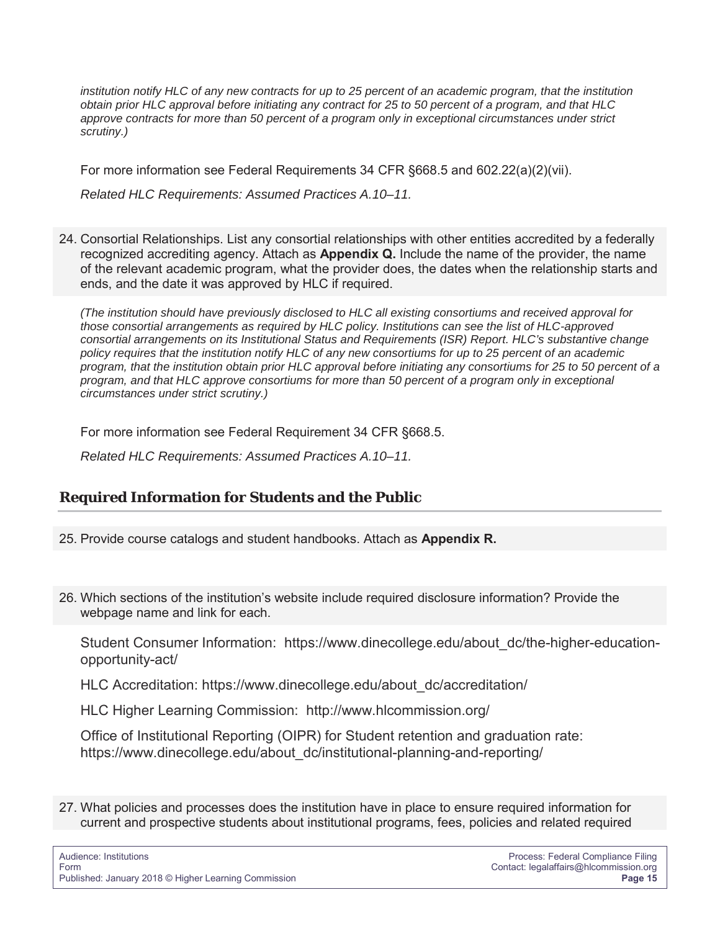*institution notify HLC of any new contracts for up to 25 percent of an academic program, that the institution obtain prior HLC approval before initiating any contract for 25 to 50 percent of a program, and that HLC approve contracts for more than 50 percent of a program only in exceptional circumstances under strict scrutiny.)*

For more information see Federal Requirements 34 CFR §668.5 and 602.22(a)(2)(vii).

*Related HLC Requirements: Assumed Practices A.10–11.*

24. Consortial Relationships. List any consortial relationships with other entities accredited by a federally recognized accrediting agency. Attach as **Appendix Q.** Include the name of the provider, the name of the relevant academic program, what the provider does, the dates when the relationship starts and ends, and the date it was approved by HLC if required.

*(The institution should have previously disclosed to HLC all existing consortiums and received approval for those consortial arrangements as required by HLC policy. Institutions can see the list of HLC-approved consortial arrangements on its Institutional Status and Requirements (ISR) Report. HLC's substantive change policy requires that the institution notify HLC of any new consortiums for up to 25 percent of an academic program, that the institution obtain prior HLC approval before initiating any consortiums for 25 to 50 percent of a program, and that HLC approve consortiums for more than 50 percent of a program only in exceptional circumstances under strict scrutiny.)*

For more information see Federal Requirement 34 CFR §668.5.

*Related HLC Requirements: Assumed Practices A.10–11.*

# **Required Information for Students and the Public**

- 25. Provide course catalogs and student handbooks. Attach as **Appendix R.**
- 26. Which sections of the institution's website include required disclosure information? Provide the webpage name and link for each.

Student Consumer Information: https://www.dinecollege.edu/about\_dc/the-higher-educationopportunity-act/

HLC Accreditation: https://www.dinecollege.edu/about\_dc/accreditation/

HLC Higher Learning Commission: http://www.hlcommission.org/

Office of Institutional Reporting (OIPR) for Student retention and graduation rate: https://www.dinecollege.edu/about\_dc/institutional-planning-and-reporting/

27. What policies and processes does the institution have in place to ensure required information for current and prospective students about institutional programs, fees, policies and related required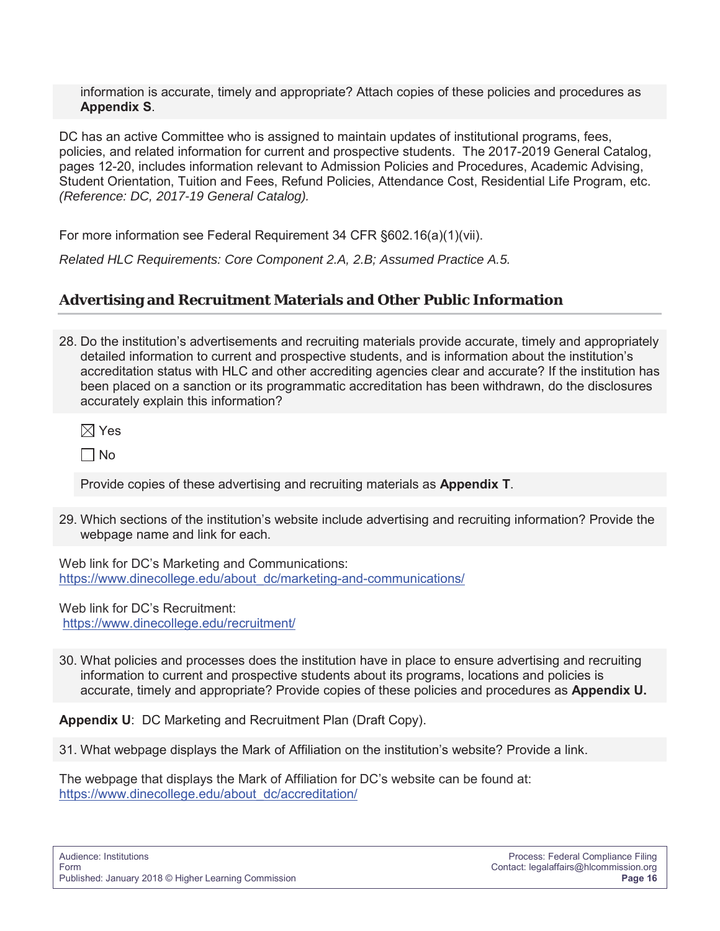information is accurate, timely and appropriate? Attach copies of these policies and procedures as **Appendix S**.

DC has an active Committee who is assigned to maintain updates of institutional programs, fees, policies, and related information for current and prospective students. The 2017-2019 General Catalog, pages 12-20, includes information relevant to Admission Policies and Procedures, Academic Advising, Student Orientation, Tuition and Fees, Refund Policies, Attendance Cost, Residential Life Program, etc. *(Reference: DC, 2017-19 General Catalog).*

For more information see Federal Requirement 34 CFR §602.16(a)(1)(vii).

*Related HLC Requirements: Core Component 2.A, 2.B; Assumed Practice A.5.*

# **Advertising and Recruitment Materials and Other Public Information**

28. Do the institution's advertisements and recruiting materials provide accurate, timely and appropriately detailed information to current and prospective students, and is information about the institution's accreditation status with HLC and other accrediting agencies clear and accurate? If the institution has been placed on a sanction or its programmatic accreditation has been withdrawn, do the disclosures accurately explain this information?

 $\boxtimes$  Yes

 $\Box$  No

Provide copies of these advertising and recruiting materials as **Appendix T**.

29. Which sections of the institution's website include advertising and recruiting information? Provide the webpage name and link for each.

Web link for DC's Marketing and Communications: https://www.dinecollege.edu/about\_dc/marketing-and-communications/

Web link for DC's Recruitment: https://www.dinecollege.edu/recruitment/

30. What policies and processes does the institution have in place to ensure advertising and recruiting information to current and prospective students about its programs, locations and policies is accurate, timely and appropriate? Provide copies of these policies and procedures as **Appendix U.**

**Appendix U**: DC Marketing and Recruitment Plan (Draft Copy).

31. What webpage displays the Mark of Affiliation on the institution's website? Provide a link.

The webpage that displays the Mark of Affiliation for DC's website can be found at: https://www.dinecollege.edu/about\_dc/accreditation/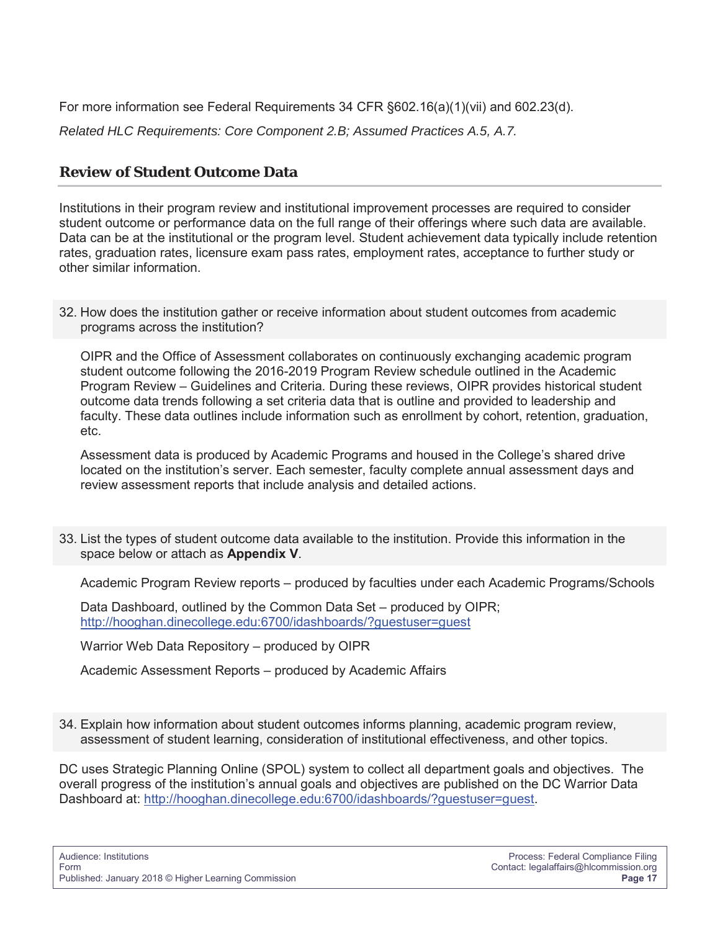For more information see Federal Requirements 34 CFR §602.16(a)(1)(vii) and 602.23(d). *Related HLC Requirements: Core Component 2.B; Assumed Practices A.5, A.7.*

# **Review of Student Outcome Data**

Institutions in their program review and institutional improvement processes are required to consider student outcome or performance data on the full range of their offerings where such data are available. Data can be at the institutional or the program level. Student achievement data typically include retention rates, graduation rates, licensure exam pass rates, employment rates, acceptance to further study or other similar information.

32. How does the institution gather or receive information about student outcomes from academic programs across the institution?

OIPR and the Office of Assessment collaborates on continuously exchanging academic program student outcome following the 2016-2019 Program Review schedule outlined in the Academic Program Review – Guidelines and Criteria. During these reviews, OIPR provides historical student outcome data trends following a set criteria data that is outline and provided to leadership and faculty. These data outlines include information such as enrollment by cohort, retention, graduation, etc.

Assessment data is produced by Academic Programs and housed in the College's shared drive located on the institution's server. Each semester, faculty complete annual assessment days and review assessment reports that include analysis and detailed actions.

33. List the types of student outcome data available to the institution. Provide this information in the space below or attach as **Appendix V**.

Academic Program Review reports – produced by faculties under each Academic Programs/Schools

Data Dashboard, outlined by the Common Data Set – produced by OIPR; http://hooghan.dinecollege.edu:6700/idashboards/?guestuser=guest

Warrior Web Data Repository – produced by OIPR

Academic Assessment Reports – produced by Academic Affairs

34. Explain how information about student outcomes informs planning, academic program review, assessment of student learning, consideration of institutional effectiveness, and other topics.

DC uses Strategic Planning Online (SPOL) system to collect all department goals and objectives. The overall progress of the institution's annual goals and objectives are published on the DC Warrior Data Dashboard at: http://hooghan.dinecollege.edu:6700/idashboards/?guestuser=guest.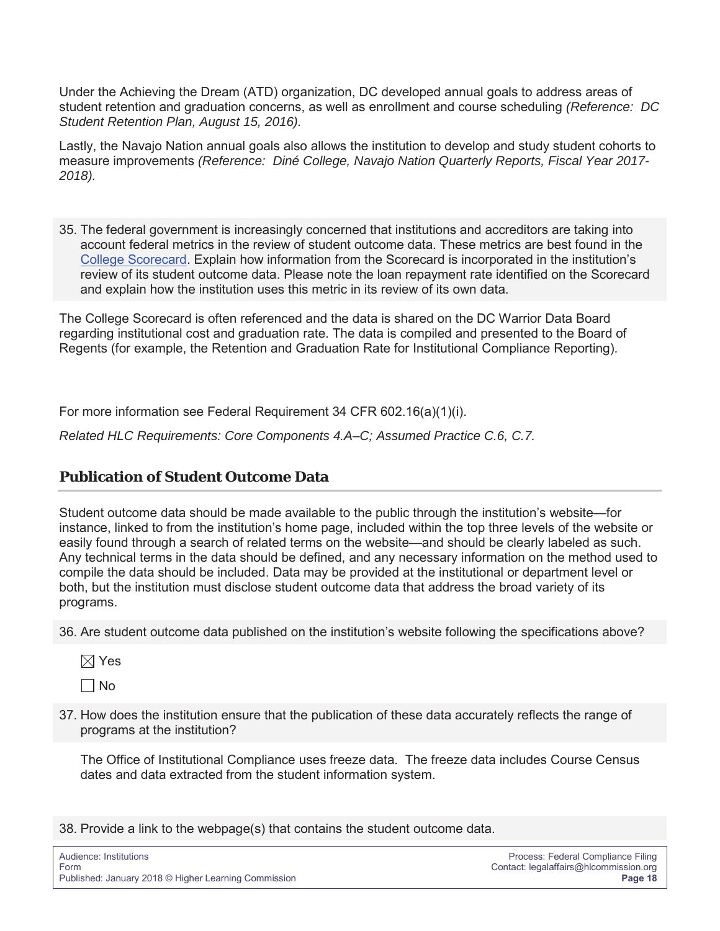Under the Achieving the Dream (ATD) organization, DC developed annual goals to address areas of student retention and graduation concerns, as well as enrollment and course scheduling *(Reference: DC Student Retention Plan, August 15, 2016).*

Lastly, the Navajo Nation annual goals also allows the institution to develop and study student cohorts to measure improvements *(Reference: Diné College, Navajo Nation Quarterly Reports, Fiscal Year 2017- 2018).*

35. The federal government is increasingly concerned that institutions and accreditors are taking into account federal metrics in the review of student outcome data. These metrics are best found in the College Scorecard. Explain how information from the Scorecard is incorporated in the institution's review of its student outcome data. Please note the loan repayment rate identified on the Scorecard and explain how the institution uses this metric in its review of its own data.

The College Scorecard is often referenced and the data is shared on the DC Warrior Data Board regarding institutional cost and graduation rate. The data is compiled and presented to the Board of Regents (for example, the Retention and Graduation Rate for Institutional Compliance Reporting).

For more information see Federal Requirement 34 CFR 602.16(a)(1)(i).

*Related HLC Requirements: Core Components 4.A–C; Assumed Practice C.6, C.7.*

# **Publication of Student Outcome Data**

Student outcome data should be made available to the public through the institution's website—for instance, linked to from the institution's home page, included within the top three levels of the website or easily found through a search of related terms on the website—and should be clearly labeled as such. Any technical terms in the data should be defined, and any necessary information on the method used to compile the data should be included. Data may be provided at the institutional or department level or both, but the institution must disclose student outcome data that address the broad variety of its programs.

36. Are student outcome data published on the institution's website following the specifications above?

 $\boxtimes$  Yes

 $\Box$  No

37. How does the institution ensure that the publication of these data accurately reflects the range of programs at the institution?

The Office of Institutional Compliance uses freeze data. The freeze data includes Course Census dates and data extracted from the student information system.

38. Provide a link to the webpage(s) that contains the student outcome data.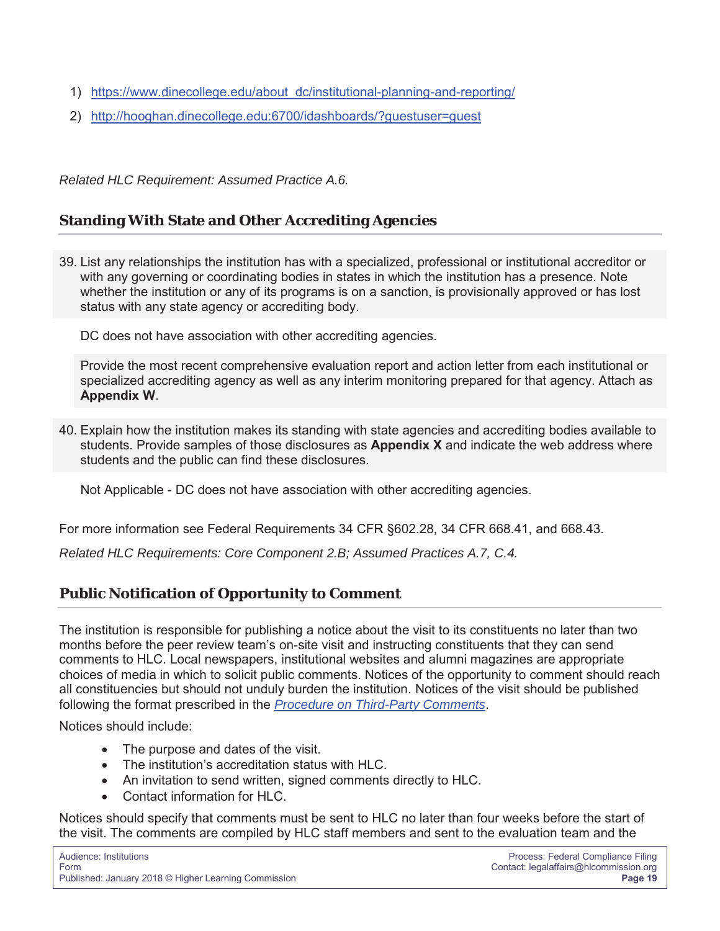- 1) https://www.dinecollege.edu/about\_dc/institutional-planning-and-reporting/
- 2) http://hooghan.dinecollege.edu:6700/idashboards/?guestuser=guest

*Related HLC Requirement: Assumed Practice A.6.*

# **Standing With State and Other Accrediting Agencies**

39. List any relationships the institution has with a specialized, professional or institutional accreditor or with any governing or coordinating bodies in states in which the institution has a presence. Note whether the institution or any of its programs is on a sanction, is provisionally approved or has lost status with any state agency or accrediting body.

DC does not have association with other accrediting agencies.

Provide the most recent comprehensive evaluation report and action letter from each institutional or specialized accrediting agency as well as any interim monitoring prepared for that agency. Attach as **Appendix W**.

40. Explain how the institution makes its standing with state agencies and accrediting bodies available to students. Provide samples of those disclosures as **Appendix X** and indicate the web address where students and the public can find these disclosures.

Not Applicable - DC does not have association with other accrediting agencies.

For more information see Federal Requirements 34 CFR §602.28, 34 CFR 668.41, and 668.43.

*Related HLC Requirements: Core Component 2.B; Assumed Practices A.7, C.4.*

# **Public Notification of Opportunity to Comment**

The institution is responsible for publishing a notice about the visit to its constituents no later than two months before the peer review team's on-site visit and instructing constituents that they can send comments to HLC. Local newspapers, institutional websites and alumni magazines are appropriate choices of media in which to solicit public comments. Notices of the opportunity to comment should reach all constituencies but should not unduly burden the institution. Notices of the visit should be published following the format prescribed in the *Procedure on Third-Party Comments*.

Notices should include:

- The purpose and dates of the visit.
- The institution's accreditation status with HLC.
- An invitation to send written, signed comments directly to HLC.
- Contact information for HLC.

Notices should specify that comments must be sent to HLC no later than four weeks before the start of the visit. The comments are compiled by HLC staff members and sent to the evaluation team and the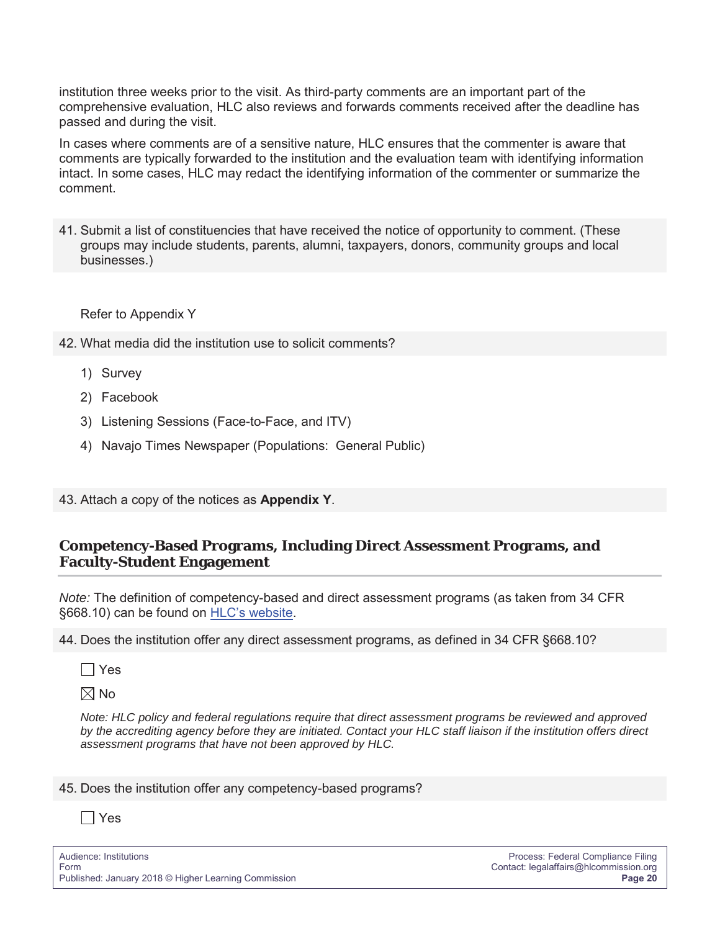institution three weeks prior to the visit. As third-party comments are an important part of the comprehensive evaluation, HLC also reviews and forwards comments received after the deadline has passed and during the visit.

In cases where comments are of a sensitive nature, HLC ensures that the commenter is aware that comments are typically forwarded to the institution and the evaluation team with identifying information intact. In some cases, HLC may redact the identifying information of the commenter or summarize the comment.

41. Submit a list of constituencies that have received the notice of opportunity to comment. (These groups may include students, parents, alumni, taxpayers, donors, community groups and local businesses.)

Refer to Appendix Y

- 42. What media did the institution use to solicit comments?
	- 1) Survey
	- 2) Facebook
	- 3) Listening Sessions (Face-to-Face, and ITV)
	- 4) Navajo Times Newspaper (Populations: General Public)
- 43. Attach a copy of the notices as **Appendix Y**.

# **Competency-Based Programs, Including Direct Assessment Programs, and Faculty-Student Engagement**

*Note:* The definition of competency-based and direct assessment programs (as taken from 34 CFR §668.10) can be found on HLC's website.

44. Does the institution offer any direct assessment programs, as defined in 34 CFR §668.10?

 $\Box$  Yes

 $\boxtimes$  No

*Note: HLC policy and federal regulations require that direct assessment programs be reviewed and approved by the accrediting agency before they are initiated. Contact your HLC staff liaison if the institution offers direct assessment programs that have not been approved by HLC.*

#### 45. Does the institution offer any competency-based programs?

 $\Box$  Yes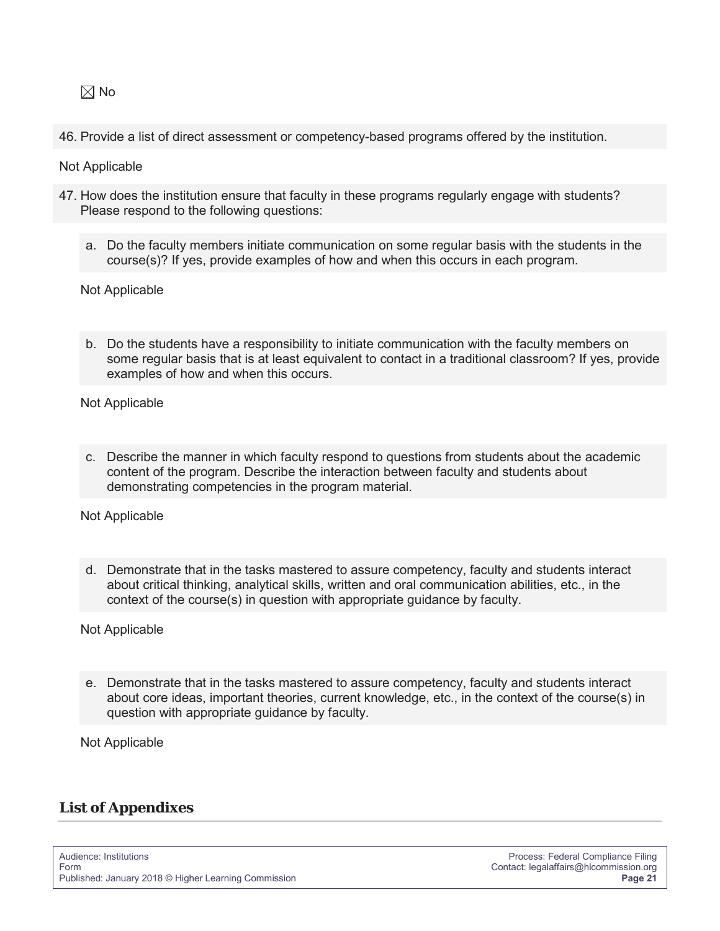## 46. Provide a list of direct assessment or competency-based programs offered by the institution.

Not Applicable

- 47. How does the institution ensure that faculty in these programs regularly engage with students? Please respond to the following questions:
	- a. Do the faculty members initiate communication on some regular basis with the students in the course(s)? If yes, provide examples of how and when this occurs in each program.

#### Not Applicable

b. Do the students have a responsibility to initiate communication with the faculty members on some regular basis that is at least equivalent to contact in a traditional classroom? If yes, provide examples of how and when this occurs.

Not Applicable

c. Describe the manner in which faculty respond to questions from students about the academic content of the program. Describe the interaction between faculty and students about demonstrating competencies in the program material.

Not Applicable

d. Demonstrate that in the tasks mastered to assure competency, faculty and students interact about critical thinking, analytical skills, written and oral communication abilities, etc., in the context of the course(s) in question with appropriate guidance by faculty.

Not Applicable

e. Demonstrate that in the tasks mastered to assure competency, faculty and students interact about core ideas, important theories, current knowledge, etc., in the context of the course(s) in question with appropriate guidance by faculty.

Not Applicable

# **List of Appendixes**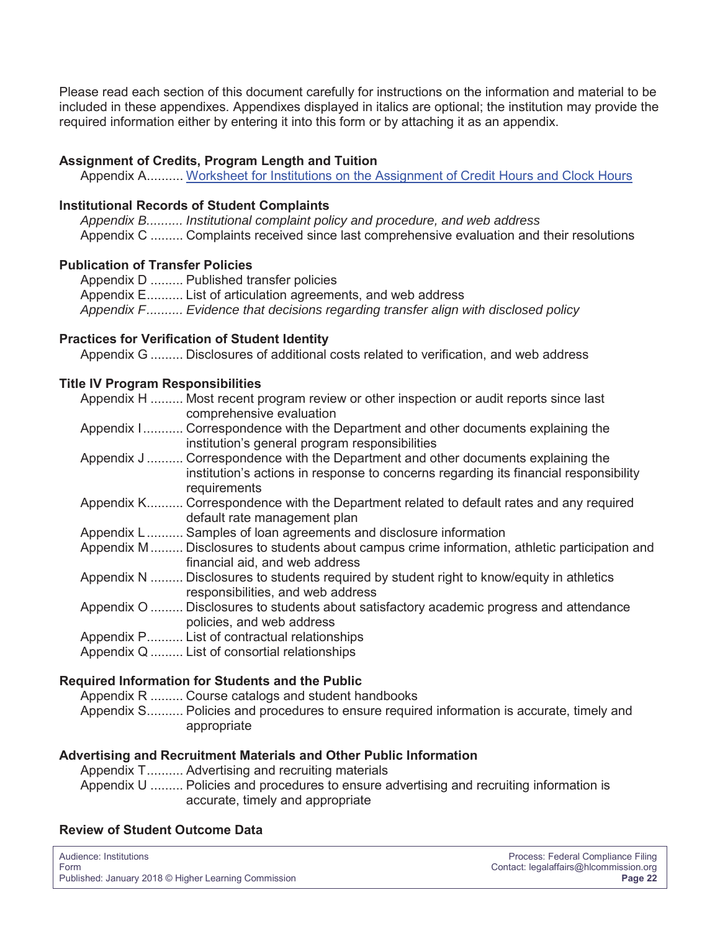Please read each section of this document carefully for instructions on the information and material to be included in these appendixes. Appendixes displayed in italics are optional; the institution may provide the required information either by entering it into this form or by attaching it as an appendix.

## **Assignment of Credits, Program Length and Tuition**

Appendix A.......... Worksheet for Institutions on the Assignment of Credit Hours and Clock Hours

## **Institutional Records of Student Complaints**

*Appendix B.......... Institutional complaint policy and procedure, and web address* Appendix C ......... Complaints received since last comprehensive evaluation and their resolutions

## **Publication of Transfer Policies**

Appendix D ......... Published transfer policies Appendix E.......... List of articulation agreements, and web address *Appendix F.......... Evidence that decisions regarding transfer align with disclosed policy*

# **Practices for Verification of Student Identity**

Appendix G ......... Disclosures of additional costs related to verification, and web address

## **Title IV Program Responsibilities**

Appendix H ......... Most recent program review or other inspection or audit reports since last comprehensive evaluation

- Appendix I........... Correspondence with the Department and other documents explaining the institution's general program responsibilities
- Appendix J .......... Correspondence with the Department and other documents explaining the institution's actions in response to concerns regarding its financial responsibility requirements
- Appendix K.......... Correspondence with the Department related to default rates and any required default rate management plan
- Appendix L.......... Samples of loan agreements and disclosure information
- Appendix M......... Disclosures to students about campus crime information, athletic participation and financial aid, and web address
- Appendix N ......... Disclosures to students required by student right to know/equity in athletics responsibilities, and web address
- Appendix O ......... Disclosures to students about satisfactory academic progress and attendance policies, and web address
- Appendix P.......... List of contractual relationships
- Appendix Q ......... List of consortial relationships

## **Required Information for Students and the Public**

Appendix R ......... Course catalogs and student handbooks

Appendix S.......... Policies and procedures to ensure required information is accurate, timely and appropriate

## **Advertising and Recruitment Materials and Other Public Information**

Appendix T.......... Advertising and recruiting materials

Appendix U ......... Policies and procedures to ensure advertising and recruiting information is accurate, timely and appropriate

## **Review of Student Outcome Data**

Audience: Institutions Process: Federal Compliance Filing Form Contact: legalaffairs@hlcommission.org Published: January 2018 © Higher Learning Commission **Page 22**